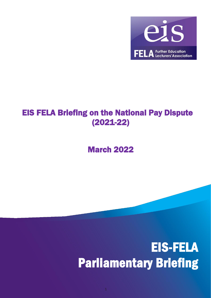

## EIS FELA Briefing on the National Pay Dispute (2021-22)

## March 2022

## EIS-FELA Parliamentary Briefing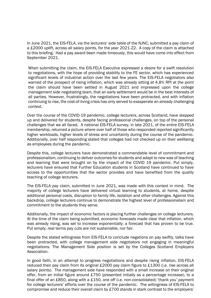In June 2021, the EIS-FELA, via the lecturers' side table of the NJNC, submitted a pay claim of a £2000 uplift, across all salary points, for the year 2021-22. A copy of the claim is attached to this briefing. Had a pay award been made timeously, this would have come into effect from September 2021.

When submitting the claim, the EIS-FELA Executive expressed a desire for a swift resolution to negotiations, with the hope of providing stability to the FE sector, which has experienced significant levels of industrial action over the last few years. The EIS-FELA negotiators also warned of the prospect of rising inflation, which was already sitting at 4.8% RPI at the point the claim should have been settled in August 2021 and impressed upon the college management side negotiating team, that an early settlement would be in the best interests of all parties. However, frustratingly, the negotiations have been protracted, and with inflation continuing to rise, the cost-of-living crisis has only served to exasperate an already challenging context.

Over the course of the COVID-19 pandemic, college lecturers, across Scotland, have stepped up and delivered for students, despite facing professional challenges, on top of the personal challenges that we all faced. A national EIS-FELA survey, in late 2021, of the entire EIS-FELA membership, returned a picture where over half of those who responded reported significantly higher workloads, higher levels of stress and uncertainty during the course of the pandemic. Additionally, over half responding stated that colleges had not checked up on their wellbeing as employees during the pandemic.

Despite this, college lecturers have demonstrated a commendable level of commitment and professionalism, continuing to deliver outcomes for students and adapt to new was of teaching and learning that were brought on by the impact of the COVID 19 pandemic. Put simply, lecturers have ensured that Further Education students in Scotland have continued to have access to the opportunities that the sector provides and have benefited from the quality teaching of college lecturers.

The EIS-FELA pay claim, submitted in June 2021, was made with this context in mind. The majority of college lecturers have delivered virtual learning to students, at home, despite additional personal costs, disruption to family life, isolation and other challenges. Against this backdrop, college lecturers continue to demonstrate the highest level of professionalism and commitment to the students they serve.

Additionally, the impact of economic factors is placing further challenges on college lecturers. At the time of the claim being submitted, economic forecasts made clear that inflation, which was already rising, was set to increase exponentially; a forecast that has proven to be true. Put simply, real terms pay cuts are not sustainable, nor fair.

Despite the stated willingness from EIS-FELA to conclude negations on pay swiftly, talks have been protracted, with college management side negotiators not engaging in meaningful negotiations. The Management Side position is set by the Colleges Scotland Employers Association.

In good faith, in an attempt to progress negotiations and despite rising inflation, EIS-FELA reduced their pay claim from its original £2000 pay claim figure to £1300 (i.e. rise across all salary points). The management side have responded with a small increase on their original offer, from an initial figure around £750 (presented initially as a percentage increase), to a final offer of an £850, along with a £150, one off (i.e. non-consolidated) 'thank you' payment for college lecturers' efforts over the course of the pandemic. The willingness of EIS-FELA to compromise and reduce their overall claim by £700 stands in stark contrast to the employers'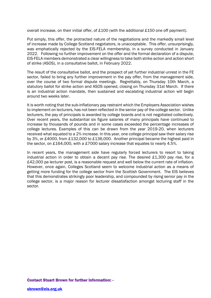overall increase, on their initial offer, of £100 (with the additional £150 one off payment).

Put simply, this offer, the protracted nature of the negotiations and the markedly small level of increase made by College Scotland negotiators, is unacceptable. This offer, unsurprisingly, was emphatically rejected by the EIS-FELA membership, in a survey conducted in January 2022. Following no further improvement on the offer and the formal declaration of a dispute, EIS-FELA members demonstrated a clear willingness to take both strike action and action short of strike (ASOS), in a consultative ballot, in February 2022.

The result of the consultative ballot, and the prospect of yet further industrial unrest in the FE sector, failed to bring any further improvement in the pay offer, from the management side, over the course of two formal dispute meetings. Regrettably, on Thursday 10th March, a statutory ballot for strike action and ASOS opened, closing on Thursday 31st March. If there is an industrial action mandate, then sustained and escalating industrial action will begin around two weeks later.

It is worth noting that the sub-inflationary pay restraint which the Employers Association wishes to implement on lecturers, has not been reflected in the senior pay of the college sector. Unlike lecturers, the pay of principals is awarded by college boards and is not negotiated collectively. Over recent years, the substantial six figure salaries of many principals have continued to increase by thousands of pounds and in some cases exceeded the percentage increases of college lectures. Examples of this can be drawn from the year 2019-20, when lecturers received what equated to a 2% increase. In this year, one college principal saw their salary rise by 3%, or £4000, from £132,000 to £136,000. Another principal became the highest paid in the sector, on £164,000, with a £7000 salary increase that equates to nearly 4.5%.

In recent years, the management side have regularly forced lecturers to resort to taking industrial action in order to obtain a decent pay rise. The desired £1,300 pay rise, for a £42,000 pa lecturer post, is a reasonable request and well below the current rate of inflation. However, once again, Colleges Scotland seem to welcome industrial action as a means of getting more funding for the college sector from the Scottish Government. The EIS believes that this demonstrates strikingly poor leadership, and compounded by rising senior pay in the college sector, is a major reason for lecturer dissatisfaction amongst lecturing staff in the sector.

## Contact Stuart Brown for further information: -